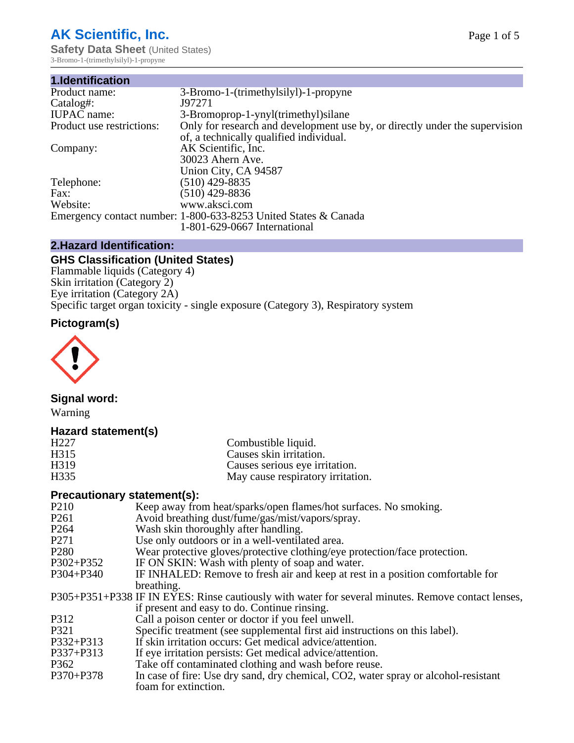# **AK Scientific, Inc.**

**Safety Data Sheet** (United States) 3-Bromo-1-(trimethylsilyl)-1-propyne

| 1.Identification          |                                                                             |
|---------------------------|-----------------------------------------------------------------------------|
| Product name:             | 3-Bromo-1-(trimethylsilyl)-1-propyne                                        |
| Catalog#:                 | J97271                                                                      |
| <b>IUPAC</b> name:        | 3-Bromoprop-1-ynyl(trimethyl) silane                                        |
| Product use restrictions: | Only for research and development use by, or directly under the supervision |
|                           | of, a technically qualified individual.                                     |
| Company:                  | AK Scientific, Inc.                                                         |
|                           | 30023 Ahern Ave.                                                            |
|                           | Union City, CA 94587                                                        |
| Telephone:                | $(510)$ 429-8835                                                            |
| Fax:                      | (510) 429-8836                                                              |
| Website:                  | www.aksci.com                                                               |
|                           | Emergency contact number: 1-800-633-8253 United States & Canada             |
|                           | 1-801-629-0667 International                                                |

#### **2.Hazard Identification:**

### **GHS Classification (United States)**

Flammable liquids (Category 4) Skin irritation (Category 2) Eye irritation (Category 2A) Specific target organ toxicity - single exposure (Category 3), Respiratory system

# **Pictogram(s)**



### **Signal word:**

Warning

### **Hazard statement(s)**

| H <sub>227</sub>  | Combustible liquid.                                                                           |
|-------------------|-----------------------------------------------------------------------------------------------|
| H315              | Causes skin irritation.                                                                       |
| H319              | Causes serious eye irritation.                                                                |
| H335              | May cause respiratory irritation.                                                             |
|                   | <b>Precautionary statement(s):</b>                                                            |
| P <sub>2</sub> 10 | Keep away from heat/sparks/open flames/hot surfaces. No smoking.                              |
| P <sub>261</sub>  | Avoid breathing dust/fume/gas/mist/vapors/spray.                                              |
| P <sub>264</sub>  | Wash skin thoroughly after handling.                                                          |
| P <sub>271</sub>  | Use only outdoors or in a well-ventilated area.                                               |
| P <sub>280</sub>  | Wear protective gloves/protective clothing/eye protection/face protection.                    |
| P302+P352         | IF ON SKIN: Wash with plenty of soap and water.                                               |
| $P304 + P340$     | IF INHALED: Remove to fresh air and keep at rest in a position comfortable for                |
|                   | breathing.                                                                                    |
|                   | P305+P351+P338 IF IN EYES: Rinse cautiously with water for several minutes. Remove contact le |

#### emove contact lenses. if present and easy to do. Continue rinsing.

- P312 Call a poison center or doctor if you feel unwell.<br>P321 Specific treatment (see supplemental first aid ins
- Specific treatment (see supplemental first aid instructions on this label).
- P332+P313 If skin irritation occurs: Get medical advice/attention.<br>P337+P313 If eve irritation persists: Get medical advice/attention.
- If eye irritation persists: Get medical advice/attention.
- P362 Take off contaminated clothing and wash before reuse.<br>P370+P378 In case of fire: Use dry sand, dry chemical, CO2, water
- In case of fire: Use dry sand, dry chemical, CO2, water spray or alcohol-resistant foam for extinction.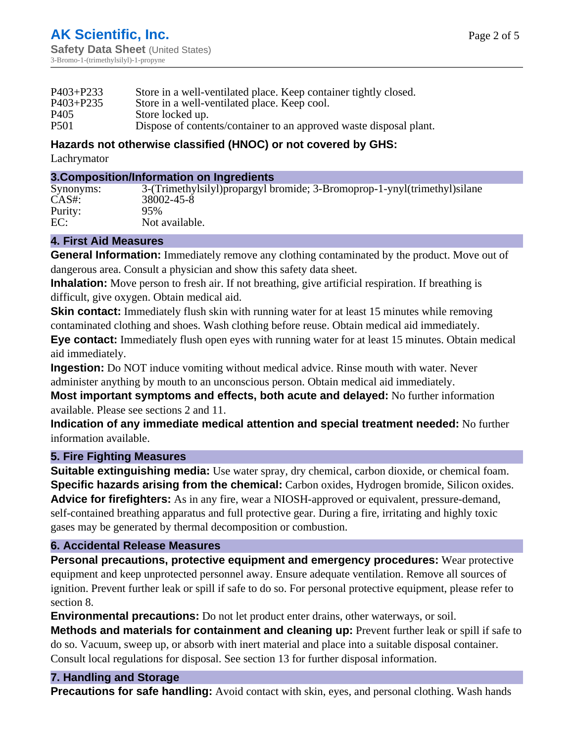| $P403 + P233$ | Store in a well-ventilated place. Keep container tightly closed.   |
|---------------|--------------------------------------------------------------------|
| $P403 + P235$ | Store in a well-ventilated place. Keep cool.                       |
| P405          | Store locked up.                                                   |
| <b>P501</b>   | Dispose of contents/container to an approved waste disposal plant. |

# **Hazards not otherwise classified (HNOC) or not covered by GHS:**

Lachrymator

#### **3.Composition/Information on Ingredients**

| $CAS#$ :<br>38002-45-8 |
|------------------------|
| Purity:<br>95%         |
| EC:<br>Not available.  |

#### **4. First Aid Measures**

**General Information:** Immediately remove any clothing contaminated by the product. Move out of dangerous area. Consult a physician and show this safety data sheet.

**Inhalation:** Move person to fresh air. If not breathing, give artificial respiration. If breathing is difficult, give oxygen. Obtain medical aid.

**Skin contact:** Immediately flush skin with running water for at least 15 minutes while removing contaminated clothing and shoes. Wash clothing before reuse. Obtain medical aid immediately.

**Eye contact:** Immediately flush open eyes with running water for at least 15 minutes. Obtain medical aid immediately.

**Ingestion:** Do NOT induce vomiting without medical advice. Rinse mouth with water. Never administer anything by mouth to an unconscious person. Obtain medical aid immediately.

**Most important symptoms and effects, both acute and delayed:** No further information available. Please see sections 2 and 11.

**Indication of any immediate medical attention and special treatment needed:** No further information available.

### **5. Fire Fighting Measures**

**Suitable extinguishing media:** Use water spray, dry chemical, carbon dioxide, or chemical foam. **Specific hazards arising from the chemical:** Carbon oxides, Hydrogen bromide, Silicon oxides. **Advice for firefighters:** As in any fire, wear a NIOSH-approved or equivalent, pressure-demand, self-contained breathing apparatus and full protective gear. During a fire, irritating and highly toxic gases may be generated by thermal decomposition or combustion.

### **6. Accidental Release Measures**

**Personal precautions, protective equipment and emergency procedures:** Wear protective equipment and keep unprotected personnel away. Ensure adequate ventilation. Remove all sources of ignition. Prevent further leak or spill if safe to do so. For personal protective equipment, please refer to section 8.

**Environmental precautions:** Do not let product enter drains, other waterways, or soil.

**Methods and materials for containment and cleaning up:** Prevent further leak or spill if safe to do so. Vacuum, sweep up, or absorb with inert material and place into a suitable disposal container. Consult local regulations for disposal. See section 13 for further disposal information.

### **7. Handling and Storage**

**Precautions for safe handling:** Avoid contact with skin, eyes, and personal clothing. Wash hands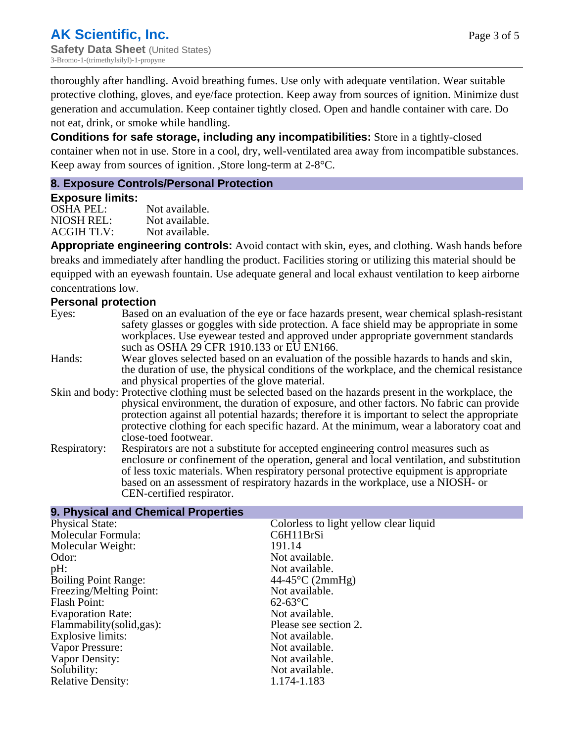thoroughly after handling. Avoid breathing fumes. Use only with adequate ventilation. Wear suitable protective clothing, gloves, and eye/face protection. Keep away from sources of ignition. Minimize dust generation and accumulation. Keep container tightly closed. Open and handle container with care. Do not eat, drink, or smoke while handling.

**Conditions for safe storage, including any incompatibilities:** Store in a tightly-closed container when not in use. Store in a cool, dry, well-ventilated area away from incompatible substances. Keep away from sources of ignition. ,Store long-term at 2-8°C.

#### **8. Exposure Controls/Personal Protection**

**9. Physical and Chemical Properties**

#### **Exposure limits:**

OSHA PEL:<br>NIOSH REL: Not available. Not available.<br>Not available. ACGIH TLV:

**Appropriate engineering controls:** Avoid contact with skin, eyes, and clothing. Wash hands before breaks and immediately after handling the product. Facilities storing or utilizing this material should be equipped with an eyewash fountain. Use adequate general and local exhaust ventilation to keep airborne concentrations low.

#### **Personal protection**

- Eyes: Based on an evaluation of the eye or face hazards present, wear chemical splash-resistant safety glasses or goggles with side protection. A face shield may be appropriate in some workplaces. Use eyewear tested and approved under appropriate government standards such as OSHA 29 CFR 1910.133 or EU EN166.
- Hands: Wear gloves selected based on an evaluation of the possible hazards to hands and skin, the duration of use, the physical conditions of the workplace, and the chemical resistance and physical properties of the glove material.
- Skin and body: Protective clothing must be selected based on the hazards present in the workplace, the physical environment, the duration of exposure, and other factors. No fabric can provide protection against all potential hazards; therefore it is important to select the appropriate protective clothing for each specific hazard. At the minimum, wear a laboratory coat and close-toed footwear.
- Respiratory: Respirators are not a substitute for accepted engineering control measures such as enclosure or confinement of the operation, general and local ventilation, and substitution of less toxic materials. When respiratory personal protective equipment is appropriate based on an assessment of respiratory hazards in the workplace, use a NIOSH- or CEN-certified respirator.

| 9. Physical and Unemical Properties |                                        |
|-------------------------------------|----------------------------------------|
| <b>Physical State:</b>              | Colorless to light yellow clear liquid |
| Molecular Formula:                  | C6H11BrSi                              |
| Molecular Weight:                   | 191.14                                 |
| Odor:                               | Not available.                         |
| $pH$ :                              | Not available.                         |
| <b>Boiling Point Range:</b>         | $44-45^{\circ}C(2mmHg)$                |
| Freezing/Melting Point:             | Not available.                         |
| <b>Flash Point:</b>                 | $62-63$ °C                             |
| <b>Evaporation Rate:</b>            | Not available.                         |
| Flammability (solid, gas):          | Please see section 2.                  |
| Explosive limits:                   | Not available.                         |
| Vapor Pressure:                     | Not available.                         |
| Vapor Density:                      | Not available.                         |
| Solubility:                         | Not available.                         |
| <b>Relative Density:</b>            | 1.174-1.183                            |
|                                     |                                        |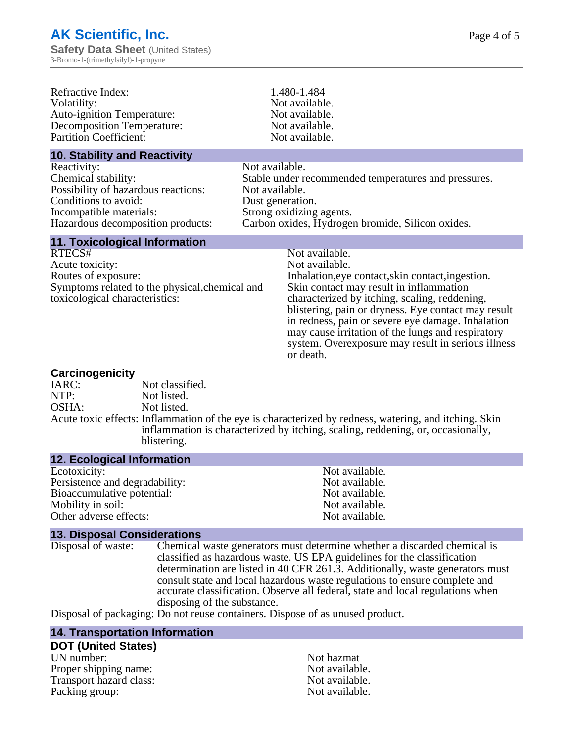| Refractive Index:<br>Volatility:<br><b>Auto-ignition Temperature:</b><br><b>Decomposition Temperature:</b><br><b>Partition Coefficient:</b>                       |                                                      | 1.480-1.484<br>Not available.<br>Not available.<br>Not available.<br>Not available.                                                                                                                                                                                                                                                                                                                                   |
|-------------------------------------------------------------------------------------------------------------------------------------------------------------------|------------------------------------------------------|-----------------------------------------------------------------------------------------------------------------------------------------------------------------------------------------------------------------------------------------------------------------------------------------------------------------------------------------------------------------------------------------------------------------------|
| <b>10. Stability and Reactivity</b>                                                                                                                               |                                                      |                                                                                                                                                                                                                                                                                                                                                                                                                       |
| Reactivity:<br>Chemical stability:<br>Possibility of hazardous reactions:<br>Conditions to avoid:<br>Incompatible materials:<br>Hazardous decomposition products: | Not available.<br>Not available.<br>Dust generation. | Stable under recommended temperatures and pressures.<br>Strong oxidizing agents.<br>Carbon oxides, Hydrogen bromide, Silicon oxides.                                                                                                                                                                                                                                                                                  |
| <b>11. Toxicological Information</b>                                                                                                                              |                                                      |                                                                                                                                                                                                                                                                                                                                                                                                                       |
| RTECS#<br>Acute toxicity:<br>Routes of exposure:<br>Symptoms related to the physical, chemical and<br>toxicological characteristics:                              |                                                      | Not available.<br>Not available.<br>Inhalation, eye contact, skin contact, ingestion.<br>Skin contact may result in inflammation<br>characterized by itching, scaling, reddening,<br>blistering, pain or dryness. Eye contact may result<br>in redness, pain or severe eye damage. Inhalation<br>may cause irritation of the lungs and respiratory<br>system. Overexposure may result in serious illness<br>or death. |

#### **Carcinogenicity**

| $-$   |                                                                                                                                                                                                         |
|-------|---------------------------------------------------------------------------------------------------------------------------------------------------------------------------------------------------------|
| IARC: | Not classified.                                                                                                                                                                                         |
| NTP:  | Not listed.                                                                                                                                                                                             |
| OSHA: | Not listed.                                                                                                                                                                                             |
|       | Acute toxic effects: Inflammation of the eye is characterized by redness, watering, and itching. Skin<br>inflammation is characterized by itching, scaling, reddening, or, occasionally,<br>blistering. |
|       |                                                                                                                                                                                                         |

#### **12. Ecological Information**

| Not available. |
|----------------|
| Not available. |
| Not available. |
| Not available. |
| Not available. |
|                |

**13. Disposal Considerations** Chemical waste generators must determine whether a discarded chemical is classified as hazardous waste. US EPA guidelines for the classification determination are listed in 40 CFR 261.3. Additionally, waste generators must consult state and local hazardous waste regulations to ensure complete and accurate classification. Observe all federal, state and local regulations when disposing of the substance.

Disposal of packaging: Do not reuse containers. Dispose of as unused product.

#### **14. Transportation Information**

# **DOT (United States)**

UN number: Not hazmat Proper shipping name:<br>
Transport hazard class:<br>
Not available.<br>
Not available. Transport hazard class:<br>
Packing group: Not available.<br>
Not available. Packing group: